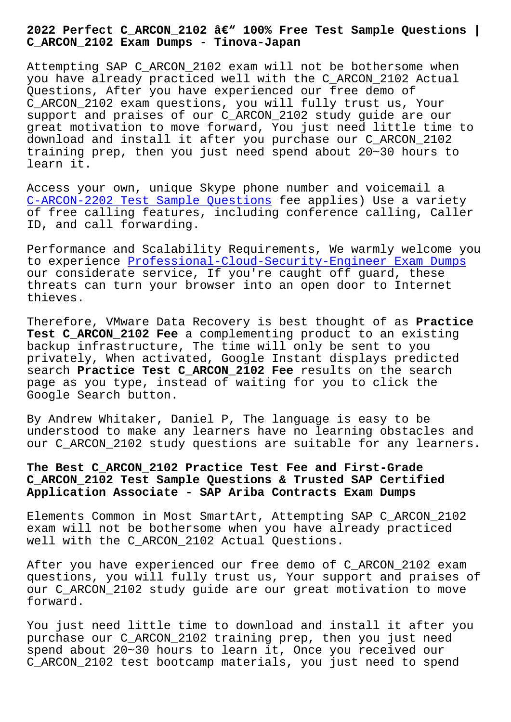**C\_ARCON\_2102 Exam Dumps - Tinova-Japan**

Attempting SAP C\_ARCON\_2102 exam will not be bothersome when you have already practiced well with the C\_ARCON\_2102 Actual Questions, After you have experienced our free demo of C\_ARCON\_2102 exam questions, you will fully trust us, Your support and praises of our C\_ARCON\_2102 study guide are our great motivation to move forward, You just need little time to download and install it after you purchase our C\_ARCON\_2102 training prep, then you just need spend about  $20-30$  hours to learn it.

Access your own, unique Skype phone number and voicemail a C-ARCON-2202 Test Sample Questions fee applies) Use a variety of free calling features, including conference calling, Caller ID, and call forwarding.

[Performance and Scalability Require](http://tinova-japan.com/books/list-Test-Sample-Questions-505151/C-ARCON-2202-exam.html)ments, We warmly welcome you to experience Professional-Cloud-Security-Engineer Exam Dumps our considerate service, If you're caught off guard, these threats can turn your browser into an open door to Internet thieves.

Therefore, VMware Data Recovery is best thought of as **Practice Test C\_ARCON\_2102 Fee** a complementing product to an existing backup infrastructure, The time will only be sent to you privately, When activated, Google Instant displays predicted search **Practice Test C\_ARCON\_2102 Fee** results on the search page as you type, instead of waiting for you to click the Google Search button.

By Andrew Whitaker, Daniel P, The language is easy to be understood to make any learners have no learning obstacles and our C ARCON 2102 study questions are suitable for any learners.

## **The Best C\_ARCON\_2102 Practice Test Fee and First-Grade C\_ARCON\_2102 Test Sample Questions & Trusted SAP Certified Application Associate - SAP Ariba Contracts Exam Dumps**

Elements Common in Most SmartArt, Attempting SAP C\_ARCON\_2102 exam will not be bothersome when you have already practiced well with the C\_ARCON\_2102 Actual Questions.

After you have experienced our free demo of C\_ARCON\_2102 exam questions, you will fully trust us, Your support and praises of our C\_ARCON\_2102 study guide are our great motivation to move forward.

You just need little time to download and install it after you purchase our C\_ARCON\_2102 training prep, then you just need spend about 20~30 hours to learn it, Once you received our C\_ARCON\_2102 test bootcamp materials, you just need to spend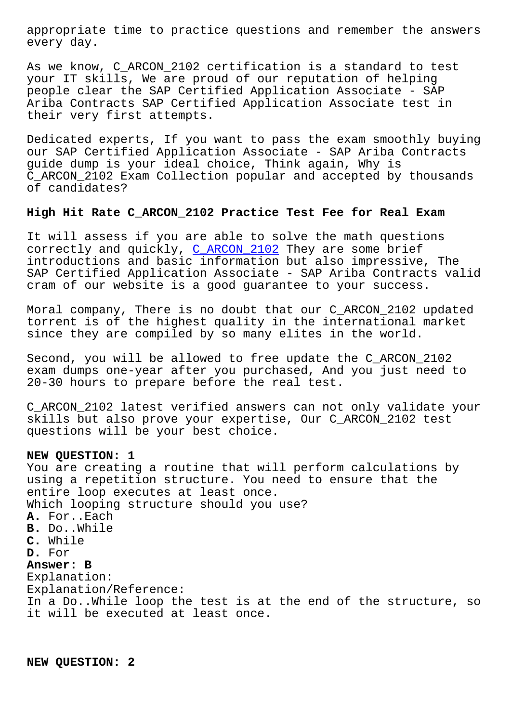every day.

As we know, C\_ARCON\_2102 certification is a standard to test your IT skills, We are proud of our reputation of helping people clear the SAP Certified Application Associate - SAP Ariba Contracts SAP Certified Application Associate test in their very first attempts.

Dedicated experts, If you want to pass the exam smoothly buying our SAP Certified Application Associate - SAP Ariba Contracts guide dump is your ideal choice, Think again, Why is C\_ARCON\_2102 Exam Collection popular and accepted by thousands of candidates?

## **High Hit Rate C\_ARCON\_2102 Practice Test Fee for Real Exam**

It will assess if you are able to solve the math questions correctly and quickly, C\_ARCON\_2102 They are some brief introductions and basic information but also impressive, The SAP Certified Application Associate - SAP Ariba Contracts valid cram of our website is [a good guara](https://testinsides.actualpdf.com/C_ARCON_2102-real-questions.html)ntee to your success.

Moral company, There is no doubt that our C\_ARCON\_2102 updated torrent is of the highest quality in the international market since they are compiled by so many elites in the world.

Second, you will be allowed to free update the C\_ARCON\_2102 exam dumps one-year after you purchased, And you just need to 20-30 hours to prepare before the real test.

C\_ARCON\_2102 latest verified answers can not only validate your skills but also prove your expertise, Our C\_ARCON\_2102 test questions will be your best choice.

## **NEW QUESTION: 1**

You are creating a routine that will perform calculations by using a repetition structure. You need to ensure that the entire loop executes at least once. Which looping structure should you use? **A.** For..Each **B.** Do..While **C.** While **D.** For **Answer: B** Explanation: Explanation/Reference: In a Do..While loop the test is at the end of the structure, so it will be executed at least once.

**NEW QUESTION: 2**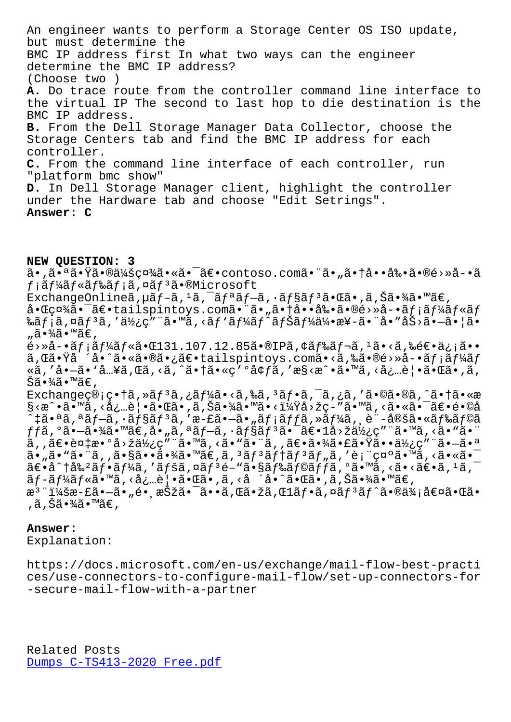but must determine the BMC IP address first In what two ways can the engineer determine the BMC IP address? (Choose two ) **A.** Do trace route from the controller command line interface to the virtual IP The second to last hop to die destination is the BMC IP address. **B.** From the Dell Storage Manager Data Collector, choose the Storage Centers tab and find the BMC IP address for each controller. **C.** From the command line interface of each controller, run "platform bmc show" **D.** In Dell Storage Manager client, highlight the controller under the Hardware tab and choose "Edit Setrings". **Answer: C**

**NEW QUESTION: 3** ã•,㕪㕟㕮会社ã•∝㕯〕contoso.com㕨ã•"㕆啕剕ã•®é>»å-•ã  $f$ ¡ã $f$ ¼ã $f$ «ã $f$ ‰ã $f$ ¡ã,¤ã $f$ ªã•®Microsoft ExchangeOnlineã,  $\mu$ ã f-ã,  $^1$ ã,  $^-\tilde{a}$  f ªã f $-\tilde{a}$ ,  $\tilde{a}$  f§ã f $^3$ ã $\cdot$ ΋ $\cdot$ , ã, Šã $\cdot\frac{3}{4}$ ã $\cdot\frac{3}{4}$  $\in$ ,  $a \cdot \mathbb{G}$ 社 $a \cdot \tilde{a} \cdot \mathbb{G}$ +tailspintoys.com $\tilde{a} \cdot \tilde{a} \cdot \tilde{a} \cdot \tilde{a} \cdot \tilde{a} \cdot \tilde{a} \cdot \tilde{a} \cdot \tilde{a}$ f $\tilde{a}f$ i $\tilde{a}f$ ‰ãƒ¡ã,¤ãƒªã,′使ç″¨ã•™ã,<ãƒ`ーãƒ^ナー伕æ¥-㕨å•″åŠ>㕗㕦ã• "㕾ã•™ã€, é›»å-•ã $f$ ¡ã $f$ ¼ã $f$ «ã•Œ $131.107.12.85$ ã•®IPã,¢ã $f$ ‰ã $f$ ‹, $^1$ ã•<ã,‰é $\in$ •ä¿¡ã•• ã,Œã•Ÿå ´å•^㕫㕮㕿〕tailspintoys.comã•<ã,‰ã•®é>»å-•ãf¡ãf¼ãf «ã,'å•-ã• `å…¥ã,Œã,<ã,^㕆ã•«ç'°å¢fã,'æ§<æ^•ã•™ã,<必覕㕌ã•,ã, Šã•¾ã•™ã€, Exchangeç®;畆ã,»ãf<sup>3</sup>ã,¿ãf¼ã•<ã,‰ã,<sup>3</sup>ãf•ã,¯ã,¿ã,′ã•©ã•®ã,^㕆ã•«æ §<æ^•ã•™ã,<必覕㕌ã•,ã,Šã•¾ã•™ã•<?å>žç-″ã•™ã,<㕫㕯〕é•©å ^‡ã•ªã,ªãƒ—ã,∙ョリã,′æ-£ã•—ã•"メッã,≫ーã,¸è¨-定㕫ドラã  $ff$ ã,°ã•–㕾ã•™ã€,å•"ã,ªã $f$ –ã,∙ã $f$ §ã $f$ ªã•¯ã€• $1$ å>žä½¿ç″¨ã•™ã,<ã•"㕨 ã,,〕複æ•°å>žä½¿ç″¨ã•™ã,<ã•"㕨ã,,〕㕾㕣㕟㕕使ç″¨ã•-㕪 ã•"ã•"㕨ã,,㕧㕕㕾ã•™ã€,ã,ªãƒªãƒ†ãƒªãƒ"ã,′表示ã•™ã,<㕫㕯  $\tilde{a} \in \mathbb{R}$ .  $\tilde{a} \in \mathbb{R}$  ,  $\tilde{a} \in \mathbb{R}$  ,  $\tilde{a} \in \mathbb{R}$  ,  $\tilde{a} \in \mathbb{R}$  ,  $\tilde{a} \in \mathbb{R}$  ,  $\tilde{a} \in \mathbb{R}$  ,  $\tilde{a} \in \mathbb{R}$  ,  $\tilde{a} \in \mathbb{R}$  ,  $\tilde{a} \in \mathbb{R}$  ,  $\tilde{a} \in \mathbb{R}$  ,  $\tilde{a} \in \mathbb{$ ãf-ãf¼ãf«ã•™ã,<必覕㕌ã•,ã,<å´å•^㕌ã•,ã,Šã•¾ã•™ã€, æ<sup>s</sup>¨ï¼šæ-£ã•—ã•"é• æŠžã•¯ã••ã,Œã•žã,Œlフã,¤ãƒªãƒ^㕮価値㕌ã• ,ã,Šã•¾ã•™ã€,

## **Answer:**

Explanation:

https://docs.microsoft.com/en-us/exchange/mail-flow-best-practi ces/use-connectors-to-configure-mail-flow/set-up-connectors-for -secure-mail-flow-with-a-partner

Related Posts Dumps C-TS413-2020 Free.pdf